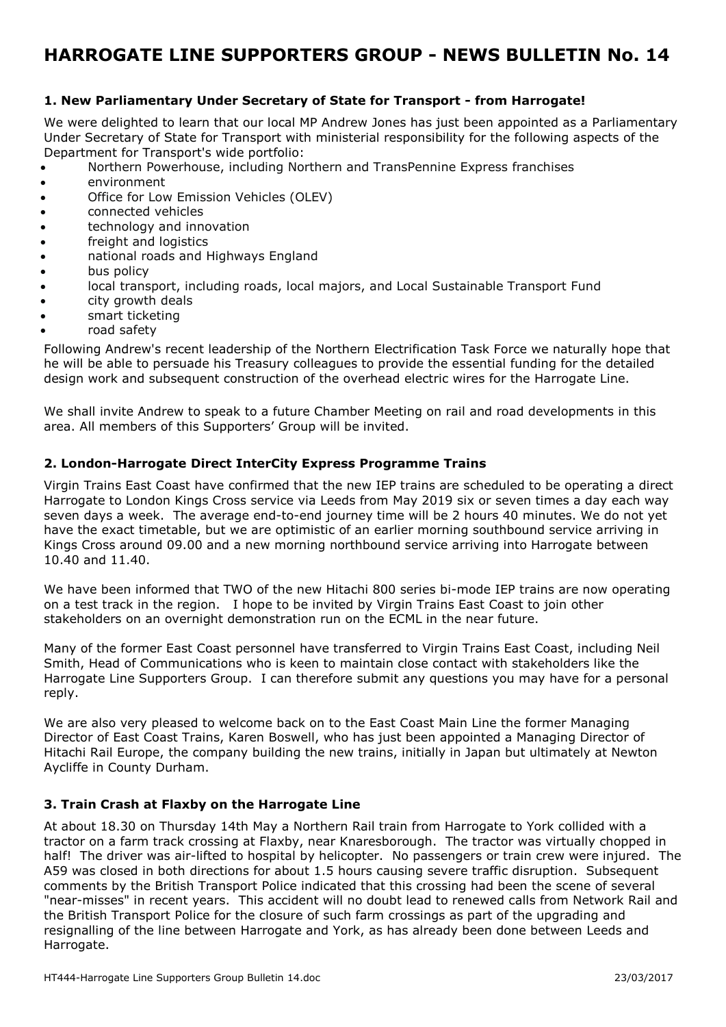# **HARROGATE LINE SUPPORTERS GROUP - NEWS BULLETIN No. 14**

### **1. New Parliamentary Under Secretary of State for Transport - from Harrogate!**

We were delighted to learn that our local MP Andrew Jones has just been appointed as a Parliamentary Under Secretary of State for Transport with ministerial responsibility for the following aspects of the Department for Transport's wide portfolio:

- Northern Powerhouse, including Northern and TransPennine Express franchises
- environment
- Office for Low Emission Vehicles (OLEV)
- connected vehicles
- technology and innovation
- freight and logistics
- national roads and Highways England
- bus policy
- local transport, including roads, local majors, and Local Sustainable Transport Fund
- city growth deals
- smart ticketing
- road safety

Following Andrew's recent leadership of the Northern Electrification Task Force we naturally hope that he will be able to persuade his Treasury colleagues to provide the essential funding for the detailed design work and subsequent construction of the overhead electric wires for the Harrogate Line.

We shall invite Andrew to speak to a future Chamber Meeting on rail and road developments in this area. All members of this Supporters' Group will be invited.

### **2. London-Harrogate Direct InterCity Express Programme Trains**

Virgin Trains East Coast have confirmed that the new IEP trains are scheduled to be operating a direct Harrogate to London Kings Cross service via Leeds from May 2019 six or seven times a day each way seven days a week. The average end-to-end journey time will be 2 hours 40 minutes. We do not yet have the exact timetable, but we are optimistic of an earlier morning southbound service arriving in Kings Cross around 09.00 and a new morning northbound service arriving into Harrogate between 10.40 and 11.40.

We have been informed that TWO of the new Hitachi 800 series bi-mode IEP trains are now operating on a test track in the region. I hope to be invited by Virgin Trains East Coast to join other stakeholders on an overnight demonstration run on the ECML in the near future.

Many of the former East Coast personnel have transferred to Virgin Trains East Coast, including Neil Smith, Head of Communications who is keen to maintain close contact with stakeholders like the Harrogate Line Supporters Group. I can therefore submit any questions you may have for a personal reply.

We are also very pleased to welcome back on to the East Coast Main Line the former Managing Director of East Coast Trains, Karen Boswell, who has just been appointed a Managing Director of Hitachi Rail Europe, the company building the new trains, initially in Japan but ultimately at Newton Aycliffe in County Durham.

#### **3. Train Crash at Flaxby on the Harrogate Line**

At about 18.30 on Thursday 14th May a Northern Rail train from Harrogate to York collided with a tractor on a farm track crossing at Flaxby, near Knaresborough. The tractor was virtually chopped in half! The driver was air-lifted to hospital by helicopter. No passengers or train crew were injured. The A59 was closed in both directions for about 1.5 hours causing severe traffic disruption. Subsequent comments by the British Transport Police indicated that this crossing had been the scene of several "near-misses" in recent years. This accident will no doubt lead to renewed calls from Network Rail and the British Transport Police for the closure of such farm crossings as part of the upgrading and resignalling of the line between Harrogate and York, as has already been done between Leeds and Harrogate.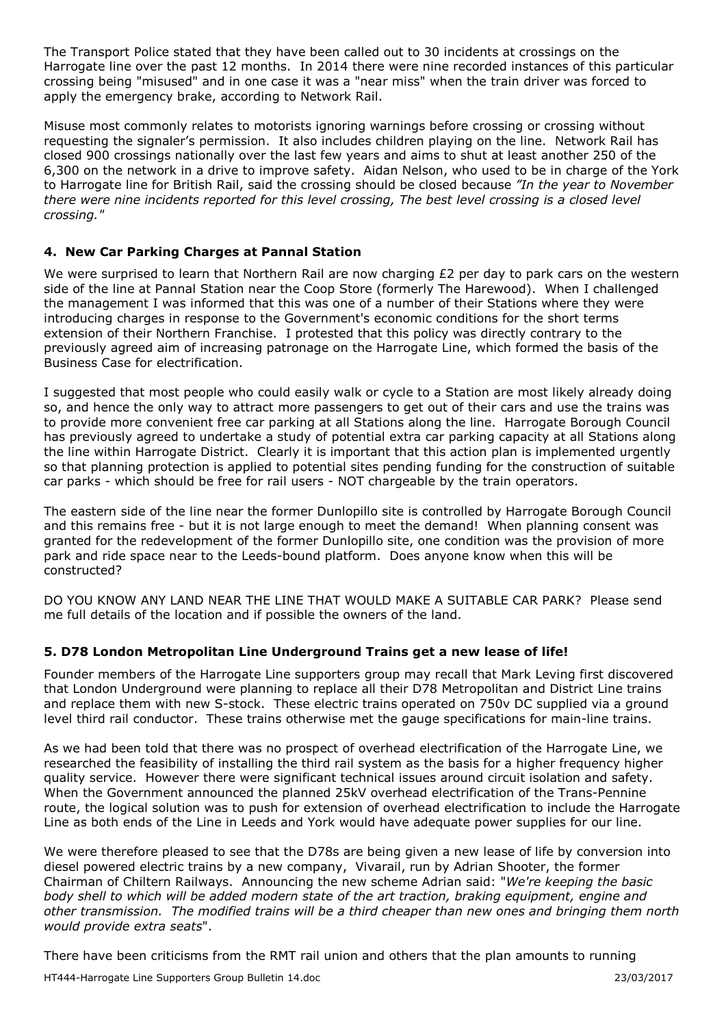The Transport Police stated that they have been called out to 30 incidents at crossings on the Harrogate line over the past 12 months. In 2014 there were nine recorded instances of this particular crossing being "misused" and in one case it was a "near miss" when the train driver was forced to apply the emergency brake, according to Network Rail.

Misuse most commonly relates to motorists ignoring warnings before crossing or crossing without requesting the signaler's permission. It also includes children playing on the line. Network Rail has closed 900 crossings nationally over the last few years and aims to shut at least another 250 of the 6,300 on the network in a drive to improve safety. Aidan Nelson, who used to be in charge of the York to Harrogate line for British Rail, said the crossing should be closed because *"In the year to November there were nine incidents reported for this level crossing, The best level crossing is a closed level crossing."*

## **4. New Car Parking Charges at Pannal Station**

We were surprised to learn that Northern Rail are now charging £2 per day to park cars on the western side of the line at Pannal Station near the Coop Store (formerly The Harewood). When I challenged the management I was informed that this was one of a number of their Stations where they were introducing charges in response to the Government's economic conditions for the short terms extension of their Northern Franchise. I protested that this policy was directly contrary to the previously agreed aim of increasing patronage on the Harrogate Line, which formed the basis of the Business Case for electrification.

I suggested that most people who could easily walk or cycle to a Station are most likely already doing so, and hence the only way to attract more passengers to get out of their cars and use the trains was to provide more convenient free car parking at all Stations along the line. Harrogate Borough Council has previously agreed to undertake a study of potential extra car parking capacity at all Stations along the line within Harrogate District. Clearly it is important that this action plan is implemented urgently so that planning protection is applied to potential sites pending funding for the construction of suitable car parks - which should be free for rail users - NOT chargeable by the train operators.

The eastern side of the line near the former Dunlopillo site is controlled by Harrogate Borough Council and this remains free - but it is not large enough to meet the demand! When planning consent was granted for the redevelopment of the former Dunlopillo site, one condition was the provision of more park and ride space near to the Leeds-bound platform. Does anyone know when this will be constructed?

DO YOU KNOW ANY LAND NEAR THE LINE THAT WOULD MAKE A SUITABLE CAR PARK? Please send me full details of the location and if possible the owners of the land.

## **5. D78 London Metropolitan Line Underground Trains get a new lease of life!**

Founder members of the Harrogate Line supporters group may recall that Mark Leving first discovered that London Underground were planning to replace all their D78 Metropolitan and District Line trains and replace them with new S-stock. These electric trains operated on 750v DC supplied via a ground level third rail conductor. These trains otherwise met the gauge specifications for main-line trains.

As we had been told that there was no prospect of overhead electrification of the Harrogate Line, we researched the feasibility of installing the third rail system as the basis for a higher frequency higher quality service. However there were significant technical issues around circuit isolation and safety. When the Government announced the planned 25kV overhead electrification of the Trans-Pennine route, the logical solution was to push for extension of overhead electrification to include the Harrogate Line as both ends of the Line in Leeds and York would have adequate power supplies for our line.

We were therefore pleased to see that the D78s are being given a new lease of life by conversion into diesel powered electric trains by a new company, Vivarail, run by Adrian Shooter, the former Chairman of Chiltern Railways. Announcing the new scheme Adrian said: "*We're keeping the basic body shell to which will be added modern state of the art traction, braking equipment, engine and other transmission. The modified trains will be a third cheaper than new ones and bringing them north would provide extra seats*".

There have been criticisms from the RMT rail union and others that the plan amounts to running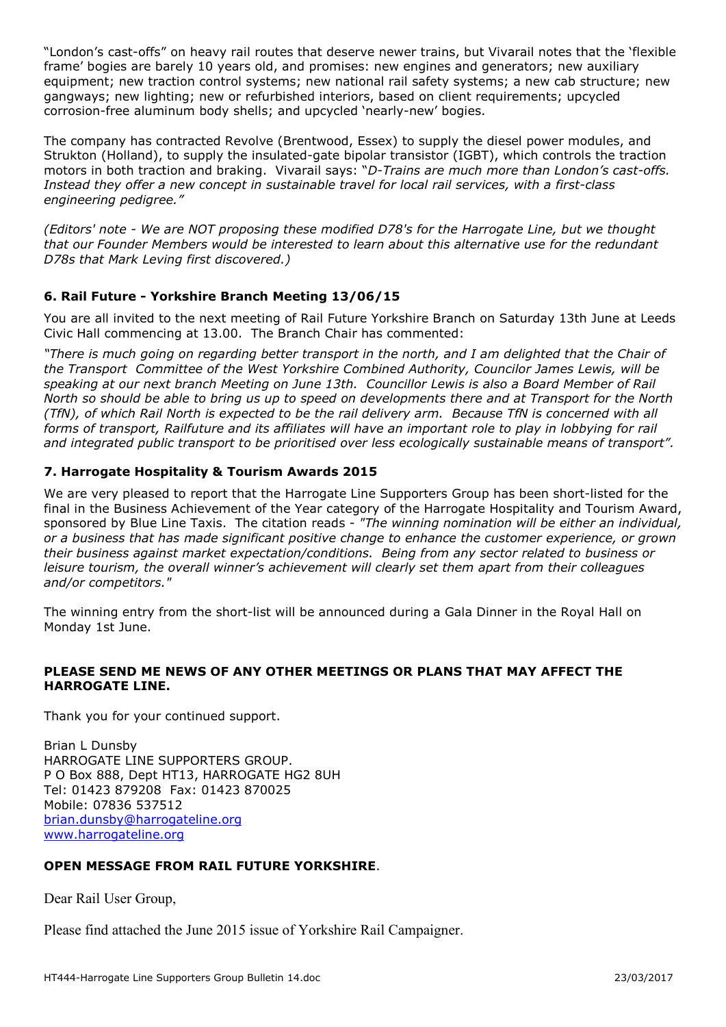"London's cast-offs" on heavy rail routes that deserve newer trains, but Vivarail notes that the 'flexible frame' bogies are barely 10 years old, and promises: new engines and generators; new auxiliary equipment; new traction control systems; new national rail safety systems; a new cab structure; new gangways; new lighting; new or refurbished interiors, based on client requirements; upcycled corrosion-free aluminum body shells; and upcycled 'nearly-new' bogies.

The company has contracted Revolve (Brentwood, Essex) to supply the diesel power modules, and Strukton (Holland), to supply the insulated-gate bipolar transistor (IGBT), which controls the traction motors in both traction and braking. Vivarail says: "*D-Trains are much more than London's cast-offs. Instead they offer a new concept in sustainable travel for local rail services, with a first-class engineering pedigree."*

*(Editors' note - We are NOT proposing these modified D78's for the Harrogate Line, but we thought that our Founder Members would be interested to learn about this alternative use for the redundant D78s that Mark Leving first discovered.)*

## **6. Rail Future - Yorkshire Branch Meeting 13/06/15**

You are all invited to the next meeting of Rail Future Yorkshire Branch on Saturday 13th June at Leeds Civic Hall commencing at 13.00. The Branch Chair has commented:

*"There is much going on regarding better transport in the north, and I am delighted that the Chair of the Transport Committee of the West Yorkshire Combined Authority, Councilor James Lewis, will be speaking at our next branch Meeting on June 13th. Councillor Lewis is also a Board Member of Rail North so should be able to bring us up to speed on developments there and at Transport for the North (TfN), of which Rail North is expected to be the rail delivery arm. Because TfN is concerned with all forms of transport, Railfuture and its affiliates will have an important role to play in lobbying for rail and integrated public transport to be prioritised over less ecologically sustainable means of transport".* 

## **7. Harrogate Hospitality & Tourism Awards 2015**

We are very pleased to report that the Harrogate Line Supporters Group has been short-listed for the final in the Business Achievement of the Year category of the Harrogate Hospitality and Tourism Award, sponsored by Blue Line Taxis. The citation reads - *"The winning nomination will be either an individual, or a business that has made significant positive change to enhance the customer experience, or grown their business against market expectation/conditions. Being from any sector related to business or leisure tourism, the overall winner's achievement will clearly set them apart from their colleagues and/or competitors."*

The winning entry from the short-list will be announced during a Gala Dinner in the Royal Hall on Monday 1st June.

### **PLEASE SEND ME NEWS OF ANY OTHER MEETINGS OR PLANS THAT MAY AFFECT THE HARROGATE LINE.**

Thank you for your continued support.

Brian L Dunsby HARROGATE LINE SUPPORTERS GROUP. P O Box 888, Dept HT13, HARROGATE HG2 8UH Tel: 01423 879208 Fax: 01423 870025 Mobile: 07836 537512 brian.dunsby@harrogateline.org www.harrogateline.org

#### **OPEN MESSAGE FROM RAIL FUTURE YORKSHIRE**.

Dear Rail User Group,

Please find attached the June 2015 issue of Yorkshire Rail Campaigner.